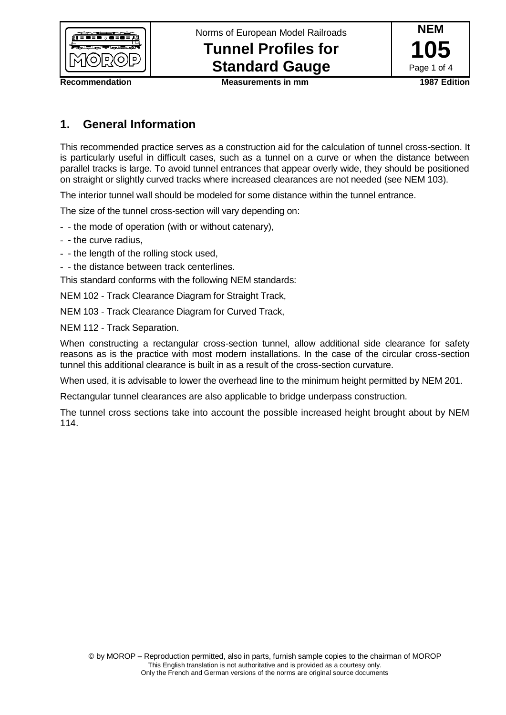

Norms of European Model Railroads

# **Tunnel Profiles for Standard Gauge**



**Recommendation Measurements in mm 1987 Edition**

## **1. General Information**

This recommended practice serves as a construction aid for the calculation of tunnel cross-section. It is particularly useful in difficult cases, such as a tunnel on a curve or when the distance between parallel tracks is large. To avoid tunnel entrances that appear overly wide, they should be positioned on straight or slightly curved tracks where increased clearances are not needed (see NEM 103).

The interior tunnel wall should be modeled for some distance within the tunnel entrance.

The size of the tunnel cross-section will vary depending on:

- - the mode of operation (with or without catenary),
- - the curve radius,
- - the length of the rolling stock used,
- - the distance between track centerlines.

This standard conforms with the following NEM standards:

NEM 102 - Track Clearance Diagram for Straight Track,

NEM 103 - Track Clearance Diagram for Curved Track,

NEM 112 - Track Separation.

When constructing a rectangular cross-section tunnel, allow additional side clearance for safety reasons as is the practice with most modern installations. In the case of the circular cross-section tunnel this additional clearance is built in as a result of the cross-section curvature.

When used, it is advisable to lower the overhead line to the minimum height permitted by NEM 201.

Rectangular tunnel clearances are also applicable to bridge underpass construction.

The tunnel cross sections take into account the possible increased height brought about by NEM 114.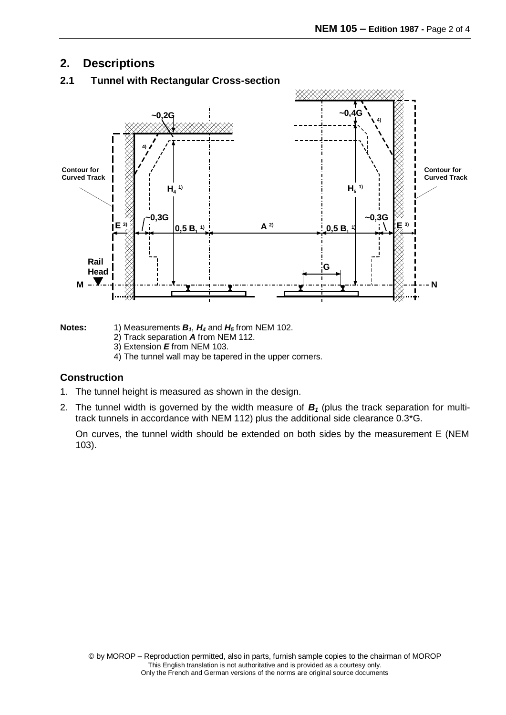# **2. Descriptions**



## **2.1 Tunnel with Rectangular Cross-section**

**Notes:** 1) Measurements *B1*, *H<sup>4</sup>* and *H<sup>5</sup>* from NEM 102.

- 2) Track separation *A* from NEM 112.
- 3) Extension *E* from NEM 103.
- 4) The tunnel wall may be tapered in the upper corners.

#### **Construction**

- 1. The tunnel height is measured as shown in the design.
- 2. The tunnel width is governed by the width measure of *B<sup>1</sup>* (plus the track separation for multitrack tunnels in accordance with NEM 112) plus the additional side clearance 0.3\*G.

On curves, the tunnel width should be extended on both sides by the measurement E (NEM 103).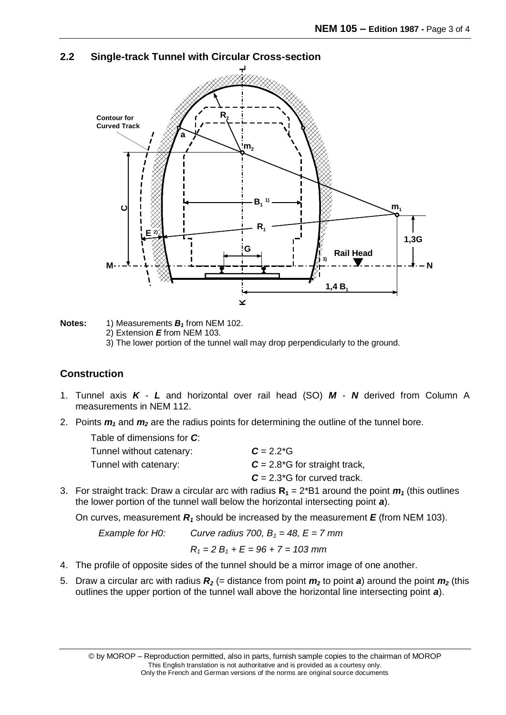#### **2.2 Single-track Tunnel with Circular Cross-section**



**Notes:** 1) Measurements *B<sup>1</sup>* from NEM 102.

2) Extension *E* from NEM 103.

3) The lower portion of the tunnel wall may drop perpendicularly to the ground.

#### **Construction**

- 1. Tunnel axis *K L* and horizontal over rail head (SO) *M N* derived from Column A measurements in NEM 112.
- 2. Points *m<sup>1</sup>* and *m<sup>2</sup>* are the radius points for determining the outline of the tunnel bore.

| Table of dimensions for C: |                                 |
|----------------------------|---------------------------------|
| Tunnel without catenary:   | $C = 2.2*G$                     |
| Tunnel with catenary:      | $C = 2.8*G$ for straight track, |
|                            | $C = 2.3*G$ for curved track.   |

3. For straight track: Draw a circular arc with radius  $R_1 = 2*B1$  around the point  $m_1$  (this outlines the lower portion of the tunnel wall below the horizontal intersecting point *a*).

On curves, measurement  $R_1$  should be increased by the measurement  $E$  (from NEM 103).

*Example for H0:* Curve radius 700,  $B_1 = 48$ ,  $E = 7$  mm

$$
R_1 = 2 B_1 + E = 96 + 7 = 103 \text{ mm}
$$

- 4. The profile of opposite sides of the tunnel should be a mirror image of one another.
- 5. Draw a circular arc with radius  $R_2$  (= distance from point  $m_2$  to point  $a$ ) around the point  $m_2$  (this outlines the upper portion of the tunnel wall above the horizontal line intersecting point *a*).